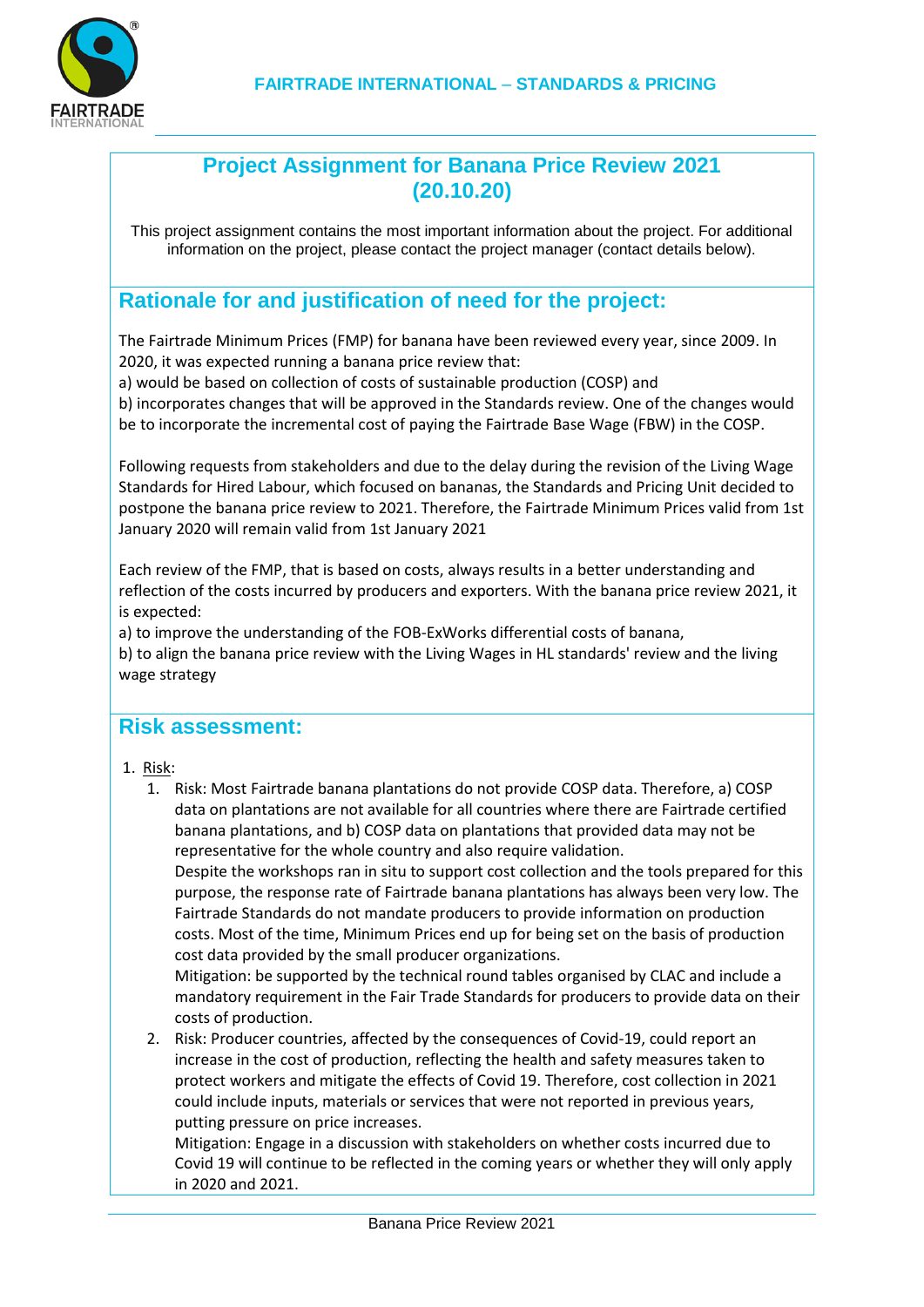

## **Project Assignment for Banana Price Review 2021 (20.10.20)**

This project assignment contains the most important information about the project. For additional information on the project, please contact the project manager (contact details below).

# **Rationale for and justification of need for the project:**

The Fairtrade Minimum Prices (FMP) for banana have been reviewed every year, since 2009. In 2020, it was expected running a banana price review that:

a) would be based on collection of costs of sustainable production (COSP) and

b) incorporates changes that will be approved in the Standards review. One of the changes would be to incorporate the incremental cost of paying the Fairtrade Base Wage (FBW) in the COSP.

Following requests from stakeholders and due to the delay during the revision of the Living Wage Standards for Hired Labour, which focused on bananas, the Standards and Pricing Unit decided to postpone the banana price review to 2021. Therefore, the Fairtrade Minimum Prices valid from 1st January 2020 will remain valid from 1st January 2021

Each review of the FMP, that is based on costs, always results in a better understanding and reflection of the costs incurred by producers and exporters. With the banana price review 2021, it is expected:

a) to improve the understanding of the FOB-ExWorks differential costs of banana,

b) to align the banana price review with the Living Wages in HL standards' review and the living wage strategy

#### **Risk assessment:**

- 1. Risk:
	- 1. Risk: Most Fairtrade banana plantations do not provide COSP data. Therefore, a) COSP data on plantations are not available for all countries where there are Fairtrade certified banana plantations, and b) COSP data on plantations that provided data may not be representative for the whole country and also require validation.

Despite the workshops ran in situ to support cost collection and the tools prepared for this purpose, the response rate of Fairtrade banana plantations has always been very low. The Fairtrade Standards do not mandate producers to provide information on production costs. Most of the time, Minimum Prices end up for being set on the basis of production cost data provided by the small producer organizations.

Mitigation: be supported by the technical round tables organised by CLAC and include a mandatory requirement in the Fair Trade Standards for producers to provide data on their costs of production.

2. Risk: Producer countries, affected by the consequences of Covid-19, could report an increase in the cost of production, reflecting the health and safety measures taken to protect workers and mitigate the effects of Covid 19. Therefore, cost collection in 2021 could include inputs, materials or services that were not reported in previous years, putting pressure on price increases.

Mitigation: Engage in a discussion with stakeholders on whether costs incurred due to Covid 19 will continue to be reflected in the coming years or whether they will only apply in 2020 and 2021.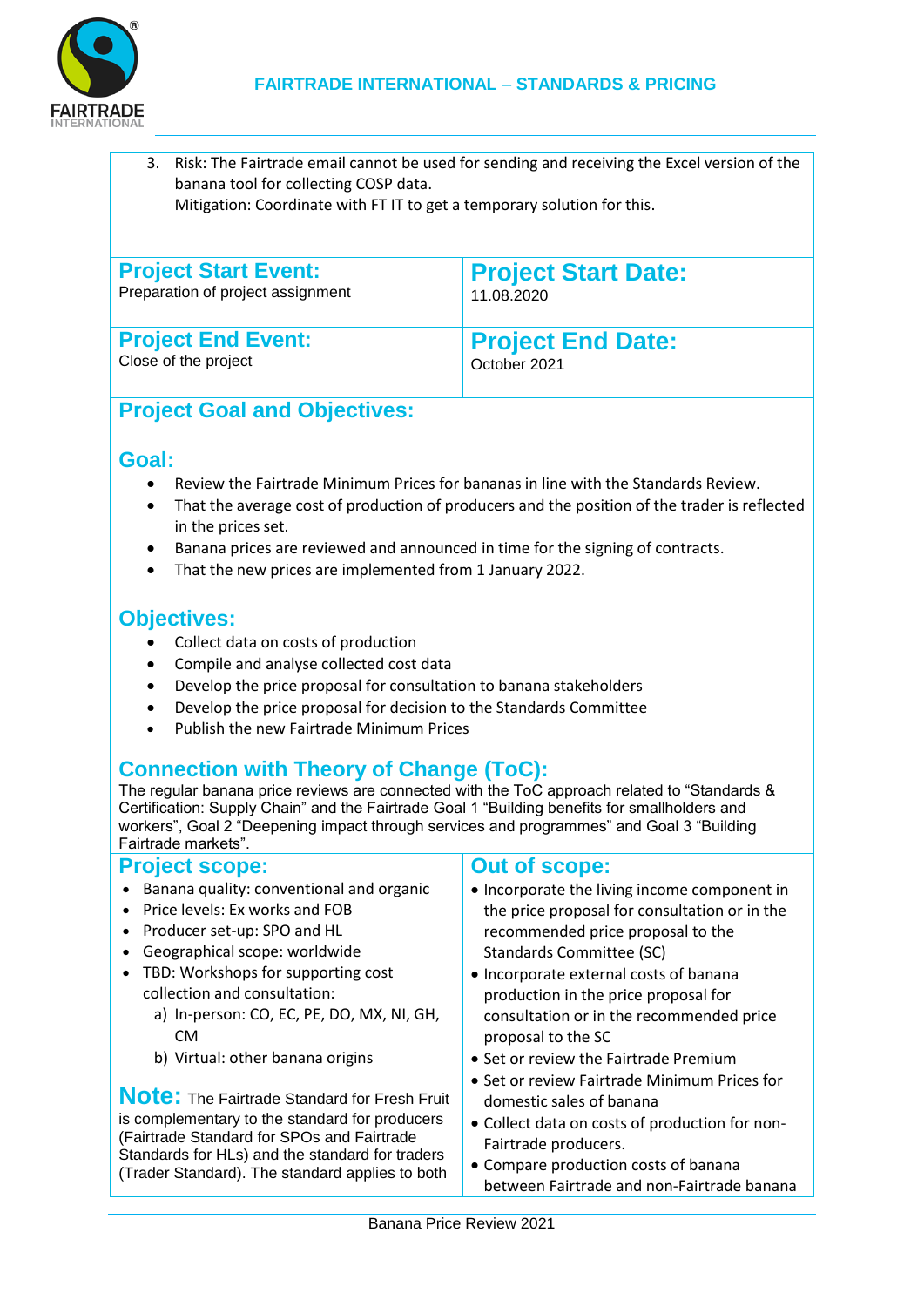

3. Risk: The Fairtrade email cannot be used for sending and receiving the Excel version of the banana tool for collecting COSP data. Mitigation: Coordinate with FT IT to get a temporary solution for this.

| <b>Project Start Event:</b>       | <b>Project Start Date:</b> |
|-----------------------------------|----------------------------|
| Preparation of project assignment | 11.08.2020                 |
| <b>Project End Event:</b>         | <b>Project End Date:</b>   |
| Close of the project              | October 2021               |

# **Project Goal and Objectives:**

### **Goal:**

- Review the Fairtrade Minimum Prices for bananas in line with the Standards Review.
- That the average cost of production of producers and the position of the trader is reflected in the prices set.
- Banana prices are reviewed and announced in time for the signing of contracts.
- That the new prices are implemented from 1 January 2022.

# **Objectives:**

- Collect data on costs of production
- Compile and analyse collected cost data
- Develop the price proposal for consultation to banana stakeholders
- Develop the price proposal for decision to the Standards Committee
- Publish the new Fairtrade Minimum Prices

# **Connection with Theory of Change (ToC):**

The regular banana price reviews are connected with the ToC approach related to "Standards & Certification: Supply Chain" and the Fairtrade Goal 1 "Building benefits for smallholders and workers", Goal 2 "Deepening impact through services and programmes" and Goal 3 "Building" Fairtrade markets".

#### **Project scope:**

- Banana quality: conventional and organic
- Price levels: Ex works and FOB
- Producer set-up: SPO and HL
- Geographical scope: worldwide
- TBD: Workshops for supporting cost collection and consultation:
	- a) In-person: CO, EC, PE, DO, MX, NI, GH, CM
	- b) Virtual: other banana origins

**Note:** The Fairtrade Standard for Fresh Fruit is complementary to the standard for producers (Fairtrade Standard for SPOs and Fairtrade Standards for HLs) and the standard for traders (Trader Standard). The standard applies to both

#### **Out of scope:**

- Incorporate the living income component in the price proposal for consultation or in the recommended price proposal to the Standards Committee (SC)
- Incorporate external costs of banana production in the price proposal for consultation or in the recommended price proposal to the SC
- Set or review the Fairtrade Premium
- Set or review Fairtrade Minimum Prices for domestic sales of banana
- Collect data on costs of production for non-Fairtrade producers.
- Compare production costs of banana between Fairtrade and non-Fairtrade banana